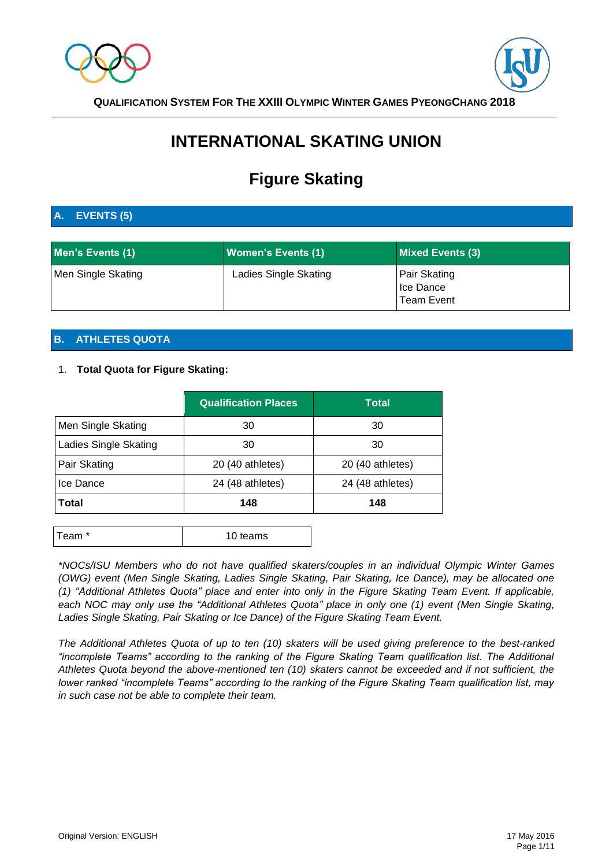



# **INTERNATIONAL SKATING UNION**

# **Figure Skating**

# **A. EVENTS (5)**

| Men's Events (1)   | <b>Women's Events (1)</b> | <b>Mixed Events (3)</b>                               |
|--------------------|---------------------------|-------------------------------------------------------|
| Men Single Skating | Ladies Single Skating     | <b>Pair Skating</b><br>Ice Dance<br><b>Team Event</b> |

# **B. ATHLETES QUOTA**

### 1. **Total Quota for Figure Skating:**

|                       | <b>Qualification Places</b> | Total            |  |
|-----------------------|-----------------------------|------------------|--|
| Men Single Skating    | 30                          | 30               |  |
| Ladies Single Skating | 30                          | 30               |  |
| Pair Skating          | 20 (40 athletes)            | 20 (40 athletes) |  |
| Ice Dance             | 24 (48 athletes)            | 24 (48 athletes) |  |
| Total                 | 148                         | 148              |  |

| Team <sup>*</sup><br>10 teams |  |
|-------------------------------|--|
|-------------------------------|--|

*\*NOCs/ISU Members who do not have qualified skaters/couples in an individual Olympic Winter Games (OWG) event (Men Single Skating, Ladies Single Skating, Pair Skating, Ice Dance), may be allocated one (1) "Additional Athletes Quota" place and enter into only in the Figure Skating Team Event. If applicable, each NOC may only use the "Additional Athletes Quota" place in only one (1) event (Men Single Skating, Ladies Single Skating, Pair Skating or Ice Dance) of the Figure Skating Team Event.*

*The Additional Athletes Quota of up to ten (10) skaters will be used giving preference to the best-ranked "incomplete Teams" according to the ranking of the Figure Skating Team qualification list. The Additional Athletes Quota beyond the above-mentioned ten (10) skaters cannot be exceeded and if not sufficient, the lower ranked "incomplete Teams" according to the ranking of the Figure Skating Team qualification list, may in such case not be able to complete their team.*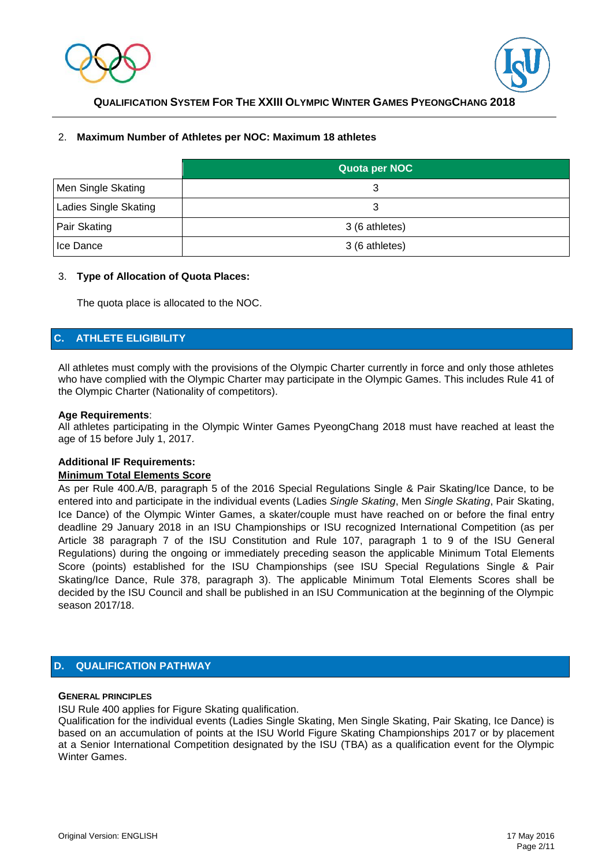



### 2. **Maximum Number of Athletes per NOC: Maximum 18 athletes**

|                       | Quota per NOC  |
|-----------------------|----------------|
| Men Single Skating    | 3              |
| Ladies Single Skating | 3              |
| <b>Pair Skating</b>   | 3 (6 athletes) |
| Ice Dance             | 3 (6 athletes) |

### 3. **Type of Allocation of Quota Places:**

The quota place is allocated to the NOC.

### **C. ATHLETE ELIGIBILITY**

All athletes must comply with the provisions of the Olympic Charter currently in force and only those athletes who have complied with the Olympic Charter may participate in the Olympic Games. This includes Rule 41 of the Olympic Charter (Nationality of competitors).

### **Age Requirements**:

All athletes participating in the Olympic Winter Games PyeongChang 2018 must have reached at least the age of 15 before July 1, 2017.

### **Additional IF Requirements:**

### **Minimum Total Elements Score**

As per Rule 400.A/B, paragraph 5 of the 2016 Special Regulations Single & Pair Skating/Ice Dance, to be entered into and participate in the individual events (Ladies *Single Skating*, Men *Single Skating*, Pair Skating, Ice Dance) of the Olympic Winter Games, a skater/couple must have reached on or before the final entry deadline 29 January 2018 in an ISU Championships or ISU recognized International Competition (as per Article 38 paragraph 7 of the ISU Constitution and Rule 107, paragraph 1 to 9 of the ISU General Regulations) during the ongoing or immediately preceding season the applicable Minimum Total Elements Score (points) established for the ISU Championships (see ISU Special Regulations Single & Pair Skating/Ice Dance, Rule 378, paragraph 3). The applicable Minimum Total Elements Scores shall be decided by the ISU Council and shall be published in an ISU Communication at the beginning of the Olympic season 2017/18.

### **D. QUALIFICATION PATHWAY**

### **GENERAL PRINCIPLES**

ISU Rule 400 applies for Figure Skating qualification.

Qualification for the individual events (Ladies Single Skating, Men Single Skating, Pair Skating, Ice Dance) is based on an accumulation of points at the ISU World Figure Skating Championships 2017 or by placement at a Senior International Competition designated by the ISU (TBA) as a qualification event for the Olympic Winter Games.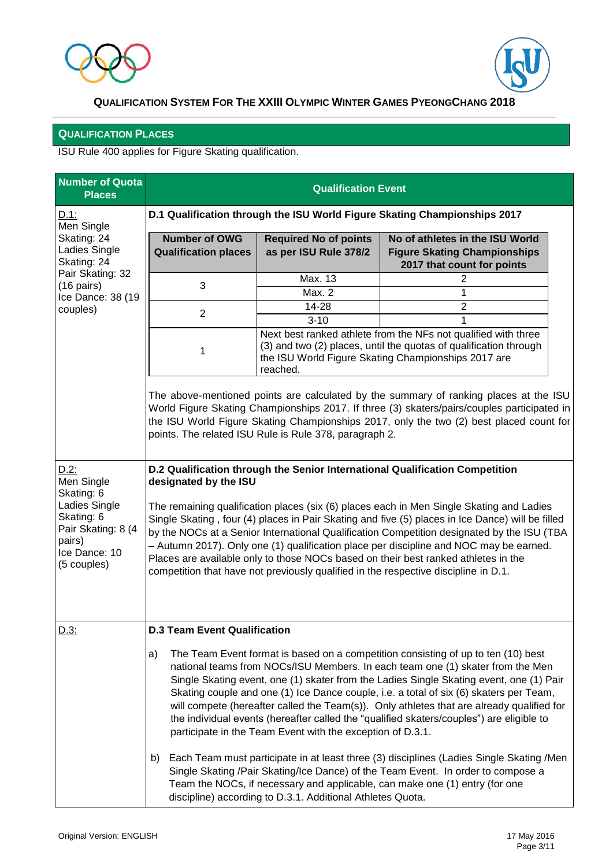



# **QUALIFICATION PLACES**

ISU Rule 400 applies for Figure Skating qualification.

| <b>Number of Quota</b><br><b>Places</b>                                                                                            | <b>Qualification Event</b>                                                                                                                                                                                                                                                                                                                                                                                                                                                                                                                                                                                                                                                 |                                                       |                                                                                                      |  |  |  |
|------------------------------------------------------------------------------------------------------------------------------------|----------------------------------------------------------------------------------------------------------------------------------------------------------------------------------------------------------------------------------------------------------------------------------------------------------------------------------------------------------------------------------------------------------------------------------------------------------------------------------------------------------------------------------------------------------------------------------------------------------------------------------------------------------------------------|-------------------------------------------------------|------------------------------------------------------------------------------------------------------|--|--|--|
| D.1:<br>Men Single                                                                                                                 | D.1 Qualification through the ISU World Figure Skating Championships 2017                                                                                                                                                                                                                                                                                                                                                                                                                                                                                                                                                                                                  |                                                       |                                                                                                      |  |  |  |
| Skating: 24<br>Ladies Single<br>Skating: 24                                                                                        | <b>Number of OWG</b><br><b>Qualification places</b>                                                                                                                                                                                                                                                                                                                                                                                                                                                                                                                                                                                                                        | <b>Required No of points</b><br>as per ISU Rule 378/2 | No of athletes in the ISU World<br><b>Figure Skating Championships</b><br>2017 that count for points |  |  |  |
| Pair Skating: 32<br>$(16 \text{ pairs})$                                                                                           | 3                                                                                                                                                                                                                                                                                                                                                                                                                                                                                                                                                                                                                                                                          | Max. 13<br>Max. 2                                     | 2<br>1                                                                                               |  |  |  |
| Ice Dance: 38 (19<br>couples)                                                                                                      |                                                                                                                                                                                                                                                                                                                                                                                                                                                                                                                                                                                                                                                                            | $\overline{2}$                                        |                                                                                                      |  |  |  |
|                                                                                                                                    | $\overline{2}$                                                                                                                                                                                                                                                                                                                                                                                                                                                                                                                                                                                                                                                             | $3 - 10$                                              | 1                                                                                                    |  |  |  |
|                                                                                                                                    | Next best ranked athlete from the NFs not qualified with three<br>(3) and two (2) places, until the quotas of qualification through<br>1<br>the ISU World Figure Skating Championships 2017 are<br>reached.                                                                                                                                                                                                                                                                                                                                                                                                                                                                |                                                       |                                                                                                      |  |  |  |
|                                                                                                                                    | The above-mentioned points are calculated by the summary of ranking places at the ISU<br>World Figure Skating Championships 2017. If three (3) skaters/pairs/couples participated in<br>the ISU World Figure Skating Championships 2017, only the two (2) best placed count for<br>points. The related ISU Rule is Rule 378, paragraph 2.                                                                                                                                                                                                                                                                                                                                  |                                                       |                                                                                                      |  |  |  |
| $D.2$ :<br>Men Single<br>Skating: 6<br>Ladies Single<br>Skating: 6<br>Pair Skating: 8 (4<br>pairs)<br>Ice Dance: 10<br>(5 couples) | D.2 Qualification through the Senior International Qualification Competition<br>designated by the ISU<br>The remaining qualification places (six (6) places each in Men Single Skating and Ladies<br>Single Skating, four (4) places in Pair Skating and five (5) places in Ice Dance) will be filled<br>by the NOCs at a Senior International Qualification Competition designated by the ISU (TBA<br>- Autumn 2017). Only one (1) qualification place per discipline and NOC may be earned.<br>Places are available only to those NOCs based on their best ranked athletes in the<br>competition that have not previously qualified in the respective discipline in D.1. |                                                       |                                                                                                      |  |  |  |
| $D.3$ :                                                                                                                            | <b>D.3 Team Event Qualification</b>                                                                                                                                                                                                                                                                                                                                                                                                                                                                                                                                                                                                                                        |                                                       |                                                                                                      |  |  |  |
|                                                                                                                                    | The Team Event format is based on a competition consisting of up to ten (10) best<br>a)<br>national teams from NOCs/ISU Members. In each team one (1) skater from the Men<br>Single Skating event, one (1) skater from the Ladies Single Skating event, one (1) Pair<br>Skating couple and one (1) Ice Dance couple, i.e. a total of six (6) skaters per Team,<br>will compete (hereafter called the Team(s)). Only athletes that are already qualified for<br>the individual events (hereafter called the "qualified skaters/couples") are eligible to<br>participate in the Team Event with the exception of D.3.1.                                                      |                                                       |                                                                                                      |  |  |  |
|                                                                                                                                    | Each Team must participate in at least three (3) disciplines (Ladies Single Skating /Men<br>b)<br>Single Skating /Pair Skating/Ice Dance) of the Team Event. In order to compose a<br>Team the NOCs, if necessary and applicable, can make one (1) entry (for one<br>discipline) according to D.3.1. Additional Athletes Quota.                                                                                                                                                                                                                                                                                                                                            |                                                       |                                                                                                      |  |  |  |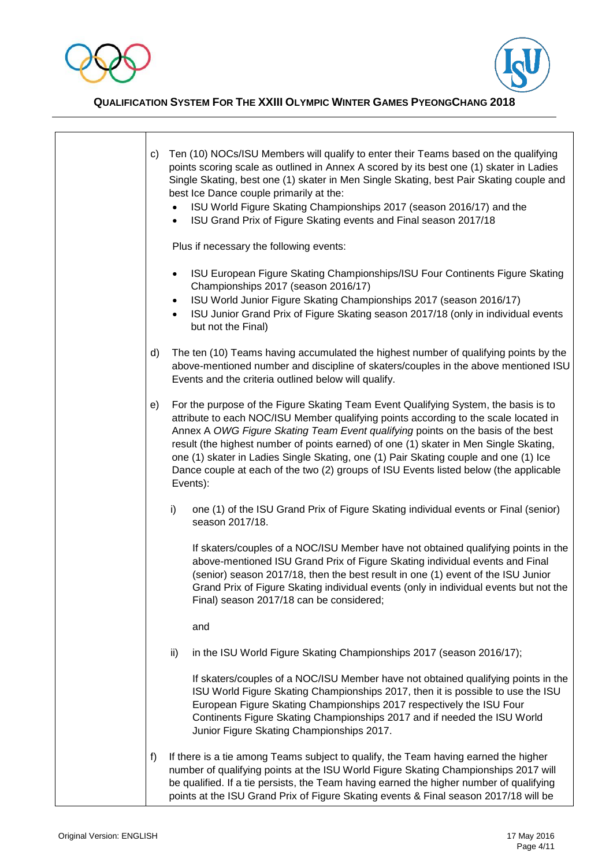

 $\mathsf{r}$ 



**QUALIFICATION SYSTEM FOR THE XXIII OLYMPIC WINTER GAMES PYEONGCHANG 2018**

|  | C) | Ten (10) NOCs/ISU Members will qualify to enter their Teams based on the qualifying<br>points scoring scale as outlined in Annex A scored by its best one (1) skater in Ladies<br>Single Skating, best one (1) skater in Men Single Skating, best Pair Skating couple and<br>best Ice Dance couple primarily at the:<br>ISU World Figure Skating Championships 2017 (season 2016/17) and the<br>ISU Grand Prix of Figure Skating events and Final season 2017/18<br>$\bullet$                                                                         |
|--|----|-------------------------------------------------------------------------------------------------------------------------------------------------------------------------------------------------------------------------------------------------------------------------------------------------------------------------------------------------------------------------------------------------------------------------------------------------------------------------------------------------------------------------------------------------------|
|  |    | Plus if necessary the following events:                                                                                                                                                                                                                                                                                                                                                                                                                                                                                                               |
|  |    | ISU European Figure Skating Championships/ISU Four Continents Figure Skating<br>$\bullet$<br>Championships 2017 (season 2016/17)<br>ISU World Junior Figure Skating Championships 2017 (season 2016/17)<br>$\bullet$<br>ISU Junior Grand Prix of Figure Skating season 2017/18 (only in individual events<br>but not the Final)                                                                                                                                                                                                                       |
|  | d) | The ten (10) Teams having accumulated the highest number of qualifying points by the<br>above-mentioned number and discipline of skaters/couples in the above mentioned ISU<br>Events and the criteria outlined below will qualify.                                                                                                                                                                                                                                                                                                                   |
|  | e) | For the purpose of the Figure Skating Team Event Qualifying System, the basis is to<br>attribute to each NOC/ISU Member qualifying points according to the scale located in<br>Annex A OWG Figure Skating Team Event qualifying points on the basis of the best<br>result (the highest number of points earned) of one (1) skater in Men Single Skating,<br>one (1) skater in Ladies Single Skating, one (1) Pair Skating couple and one (1) Ice<br>Dance couple at each of the two (2) groups of ISU Events listed below (the applicable<br>Events): |
|  |    | one (1) of the ISU Grand Prix of Figure Skating individual events or Final (senior)<br>i)<br>season 2017/18.                                                                                                                                                                                                                                                                                                                                                                                                                                          |
|  |    | If skaters/couples of a NOC/ISU Member have not obtained qualifying points in the<br>above-mentioned ISU Grand Prix of Figure Skating individual events and Final<br>(senior) season 2017/18, then the best result in one (1) event of the ISU Junior<br>Grand Prix of Figure Skating individual events (only in individual events but not the<br>Final) season 2017/18 can be considered;                                                                                                                                                            |
|  |    | and                                                                                                                                                                                                                                                                                                                                                                                                                                                                                                                                                   |
|  |    | in the ISU World Figure Skating Championships 2017 (season 2016/17);<br>ii)                                                                                                                                                                                                                                                                                                                                                                                                                                                                           |
|  |    | If skaters/couples of a NOC/ISU Member have not obtained qualifying points in the<br>ISU World Figure Skating Championships 2017, then it is possible to use the ISU<br>European Figure Skating Championships 2017 respectively the ISU Four<br>Continents Figure Skating Championships 2017 and if needed the ISU World<br>Junior Figure Skating Championships 2017.                                                                                                                                                                                 |
|  | f) | If there is a tie among Teams subject to qualify, the Team having earned the higher<br>number of qualifying points at the ISU World Figure Skating Championships 2017 will<br>be qualified. If a tie persists, the Team having earned the higher number of qualifying<br>points at the ISU Grand Prix of Figure Skating events & Final season 2017/18 will be                                                                                                                                                                                         |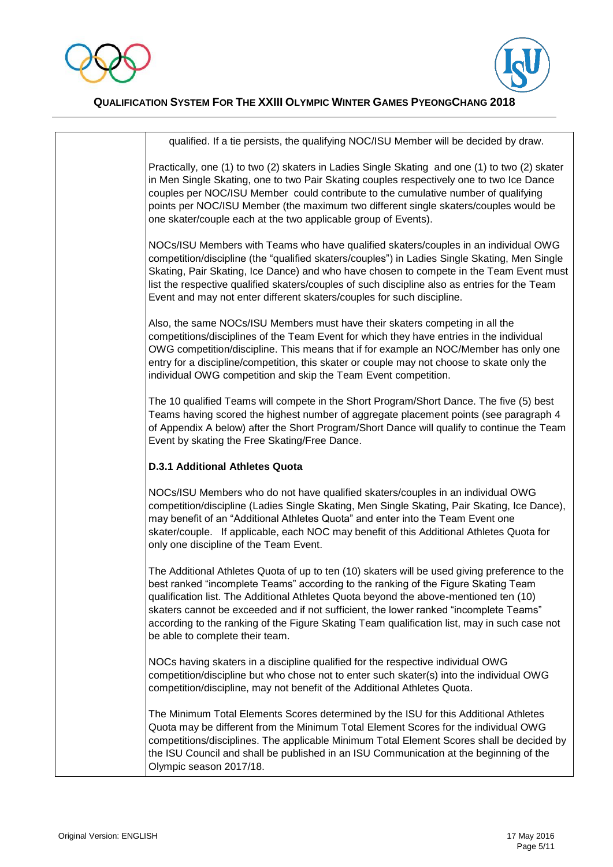



| qualified. If a tie persists, the qualifying NOC/ISU Member will be decided by draw.                                                                                                                                                                                                                                                                                                                                                                                                                     |
|----------------------------------------------------------------------------------------------------------------------------------------------------------------------------------------------------------------------------------------------------------------------------------------------------------------------------------------------------------------------------------------------------------------------------------------------------------------------------------------------------------|
| Practically, one (1) to two (2) skaters in Ladies Single Skating and one (1) to two (2) skater<br>in Men Single Skating, one to two Pair Skating couples respectively one to two Ice Dance<br>couples per NOC/ISU Member could contribute to the cumulative number of qualifying<br>points per NOC/ISU Member (the maximum two different single skaters/couples would be<br>one skater/couple each at the two applicable group of Events).                                                               |
| NOCs/ISU Members with Teams who have qualified skaters/couples in an individual OWG<br>competition/discipline (the "qualified skaters/couples") in Ladies Single Skating, Men Single<br>Skating, Pair Skating, Ice Dance) and who have chosen to compete in the Team Event must<br>list the respective qualified skaters/couples of such discipline also as entries for the Team<br>Event and may not enter different skaters/couples for such discipline.                                               |
| Also, the same NOCs/ISU Members must have their skaters competing in all the<br>competitions/disciplines of the Team Event for which they have entries in the individual<br>OWG competition/discipline. This means that if for example an NOC/Member has only one<br>entry for a discipline/competition, this skater or couple may not choose to skate only the<br>individual OWG competition and skip the Team Event competition.                                                                       |
| The 10 qualified Teams will compete in the Short Program/Short Dance. The five (5) best<br>Teams having scored the highest number of aggregate placement points (see paragraph 4<br>of Appendix A below) after the Short Program/Short Dance will qualify to continue the Team<br>Event by skating the Free Skating/Free Dance.                                                                                                                                                                          |
| <b>D.3.1 Additional Athletes Quota</b>                                                                                                                                                                                                                                                                                                                                                                                                                                                                   |
| NOCs/ISU Members who do not have qualified skaters/couples in an individual OWG<br>competition/discipline (Ladies Single Skating, Men Single Skating, Pair Skating, Ice Dance),<br>may benefit of an "Additional Athletes Quota" and enter into the Team Event one<br>skater/couple. If applicable, each NOC may benefit of this Additional Athletes Quota for<br>only one discipline of the Team Event.                                                                                                 |
| The Additional Athletes Quota of up to ten (10) skaters will be used giving preference to the<br>best ranked "incomplete Teams" according to the ranking of the Figure Skating Team<br>qualification list. The Additional Athletes Quota beyond the above-mentioned ten (10)<br>skaters cannot be exceeded and if not sufficient, the lower ranked "incomplete Teams"<br>according to the ranking of the Figure Skating Team qualification list, may in such case not<br>be able to complete their team. |
| NOCs having skaters in a discipline qualified for the respective individual OWG<br>competition/discipline but who chose not to enter such skater(s) into the individual OWG<br>competition/discipline, may not benefit of the Additional Athletes Quota.                                                                                                                                                                                                                                                 |
| The Minimum Total Elements Scores determined by the ISU for this Additional Athletes<br>Quota may be different from the Minimum Total Element Scores for the individual OWG<br>competitions/disciplines. The applicable Minimum Total Element Scores shall be decided by<br>the ISU Council and shall be published in an ISU Communication at the beginning of the<br>Olympic season 2017/18.                                                                                                            |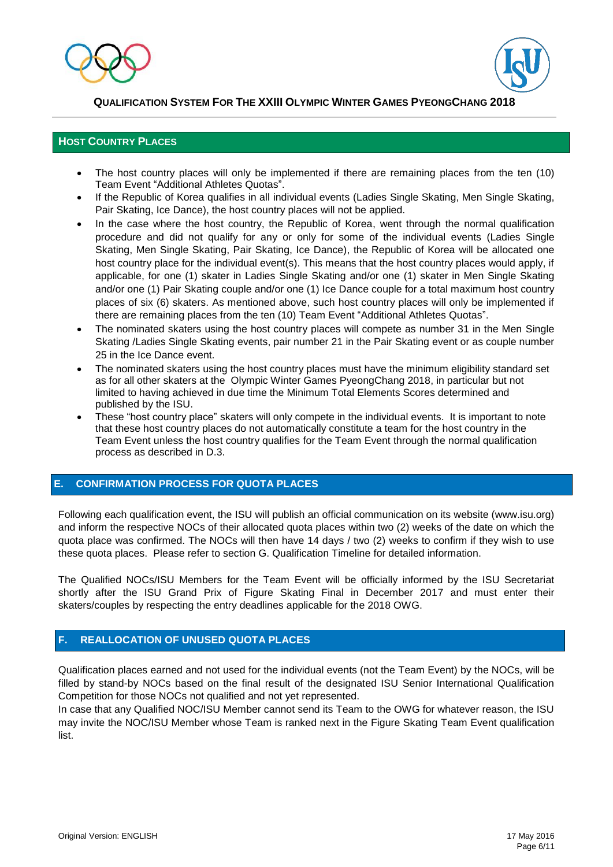



### **HOST COUNTRY PLACES**

- The host country places will only be implemented if there are remaining places from the ten (10) Team Event "Additional Athletes Quotas".
- If the Republic of Korea qualifies in all individual events (Ladies Single Skating, Men Single Skating, Pair Skating, Ice Dance), the host country places will not be applied.
- In the case where the host country, the Republic of Korea, went through the normal qualification procedure and did not qualify for any or only for some of the individual events (Ladies Single Skating, Men Single Skating, Pair Skating, Ice Dance), the Republic of Korea will be allocated one host country place for the individual event(s). This means that the host country places would apply, if applicable, for one (1) skater in Ladies Single Skating and/or one (1) skater in Men Single Skating and/or one (1) Pair Skating couple and/or one (1) Ice Dance couple for a total maximum host country places of six (6) skaters. As mentioned above, such host country places will only be implemented if there are remaining places from the ten (10) Team Event "Additional Athletes Quotas".
- The nominated skaters using the host country places will compete as number 31 in the Men Single Skating /Ladies Single Skating events, pair number 21 in the Pair Skating event or as couple number 25 in the Ice Dance event.
- The nominated skaters using the host country places must have the minimum eligibility standard set as for all other skaters at the Olympic Winter Games PyeongChang 2018, in particular but not limited to having achieved in due time the Minimum Total Elements Scores determined and published by the ISU.
- These "host country place" skaters will only compete in the individual events. It is important to note that these host country places do not automatically constitute a team for the host country in the Team Event unless the host country qualifies for the Team Event through the normal qualification process as described in D.3.

### **E. CONFIRMATION PROCESS FOR QUOTA PLACES**

Following each qualification event, the ISU will publish an official communication on its website (www.isu.org) and inform the respective NOCs of their allocated quota places within two (2) weeks of the date on which the quota place was confirmed. The NOCs will then have 14 days / two (2) weeks to confirm if they wish to use these quota places. Please refer to section G. Qualification Timeline for detailed information.

The Qualified NOCs/ISU Members for the Team Event will be officially informed by the ISU Secretariat shortly after the ISU Grand Prix of Figure Skating Final in December 2017 and must enter their skaters/couples by respecting the entry deadlines applicable for the 2018 OWG.

### **F. REALLOCATION OF UNUSED QUOTA PLACES**

Qualification places earned and not used for the individual events (not the Team Event) by the NOCs, will be filled by stand-by NOCs based on the final result of the designated ISU Senior International Qualification Competition for those NOCs not qualified and not yet represented.

In case that any Qualified NOC/ISU Member cannot send its Team to the OWG for whatever reason, the ISU may invite the NOC/ISU Member whose Team is ranked next in the Figure Skating Team Event qualification list.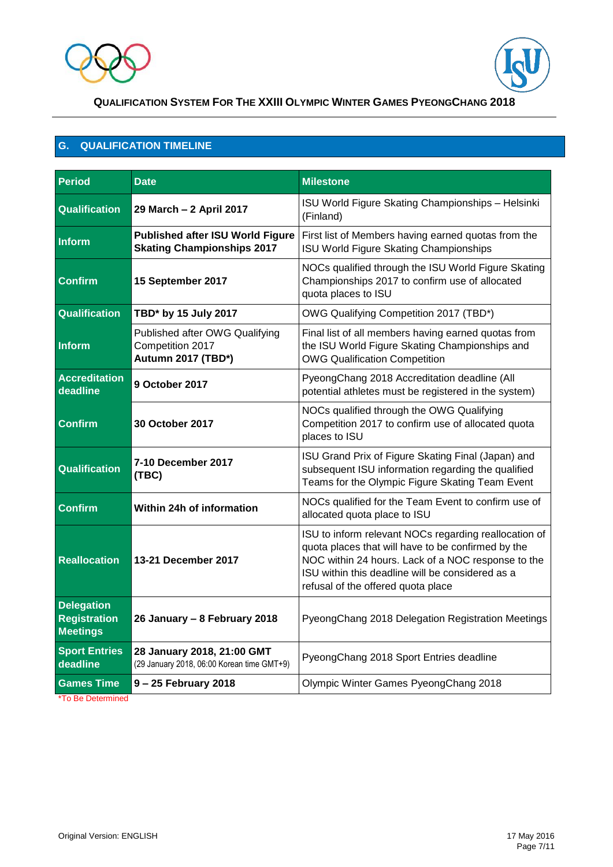



### **G. QUALIFICATION TIMELINE**

| <b>Period</b>                                               | <b>Date</b>                                                                  | <b>Milestone</b>                                                                                                                                                                                                                                            |  |  |  |
|-------------------------------------------------------------|------------------------------------------------------------------------------|-------------------------------------------------------------------------------------------------------------------------------------------------------------------------------------------------------------------------------------------------------------|--|--|--|
| <b>Qualification</b>                                        | 29 March - 2 April 2017                                                      | ISU World Figure Skating Championships - Helsinki<br>(Finland)                                                                                                                                                                                              |  |  |  |
| <b>Inform</b>                                               | <b>Published after ISU World Figure</b><br><b>Skating Championships 2017</b> | First list of Members having earned quotas from the<br>ISU World Figure Skating Championships                                                                                                                                                               |  |  |  |
| <b>Confirm</b>                                              | 15 September 2017                                                            | NOCs qualified through the ISU World Figure Skating<br>Championships 2017 to confirm use of allocated<br>quota places to ISU                                                                                                                                |  |  |  |
| <b>Qualification</b>                                        | TBD* by 15 July 2017                                                         | OWG Qualifying Competition 2017 (TBD*)                                                                                                                                                                                                                      |  |  |  |
| Inform                                                      | Published after OWG Qualifying<br>Competition 2017<br>Autumn 2017 (TBD*)     | Final list of all members having earned quotas from<br>the ISU World Figure Skating Championships and<br><b>OWG Qualification Competition</b>                                                                                                               |  |  |  |
| <b>Accreditation</b><br>deadline                            | 9 October 2017                                                               | PyeongChang 2018 Accreditation deadline (All<br>potential athletes must be registered in the system)                                                                                                                                                        |  |  |  |
| <b>Confirm</b>                                              | <b>30 October 2017</b>                                                       | NOCs qualified through the OWG Qualifying<br>Competition 2017 to confirm use of allocated quota<br>places to ISU                                                                                                                                            |  |  |  |
| Qualification                                               | 7-10 December 2017<br>(TBC)                                                  | ISU Grand Prix of Figure Skating Final (Japan) and<br>subsequent ISU information regarding the qualified<br>Teams for the Olympic Figure Skating Team Event                                                                                                 |  |  |  |
| <b>Confirm</b>                                              | Within 24h of information                                                    | NOCs qualified for the Team Event to confirm use of<br>allocated quota place to ISU                                                                                                                                                                         |  |  |  |
| <b>Reallocation</b>                                         | 13-21 December 2017                                                          | ISU to inform relevant NOCs regarding reallocation of<br>quota places that will have to be confirmed by the<br>NOC within 24 hours. Lack of a NOC response to the<br>ISU within this deadline will be considered as a<br>refusal of the offered quota place |  |  |  |
| <b>Delegation</b><br><b>Registration</b><br><b>Meetings</b> | 26 January - 8 February 2018                                                 | PyeongChang 2018 Delegation Registration Meetings                                                                                                                                                                                                           |  |  |  |
| <b>Sport Entries</b><br>deadline                            | 28 January 2018, 21:00 GMT<br>(29 January 2018, 06:00 Korean time GMT+9)     | PyeongChang 2018 Sport Entries deadline                                                                                                                                                                                                                     |  |  |  |
| <b>Games Time</b><br>*To Be Determined                      | 9-25 February 2018                                                           | Olympic Winter Games PyeongChang 2018                                                                                                                                                                                                                       |  |  |  |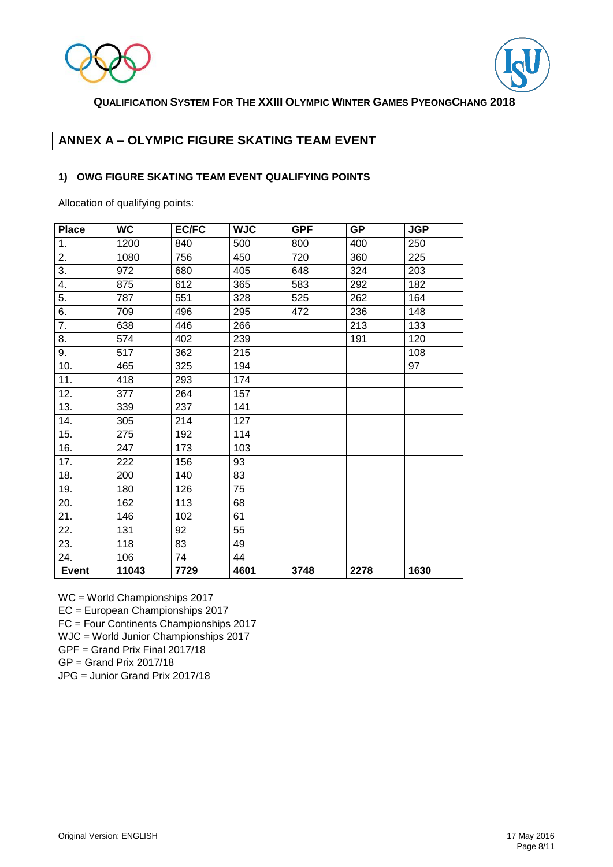



## **ANNEX A – OLYMPIC FIGURE SKATING TEAM EVENT**

### **1) OWG FIGURE SKATING TEAM EVENT QUALIFYING POINTS**

Allocation of qualifying points:

| <b>Place</b> | <b>WC</b> | <b>EC/FC</b>     | <b>WJC</b> | <b>GPF</b> | <b>GP</b> | <b>JGP</b> |
|--------------|-----------|------------------|------------|------------|-----------|------------|
| 1.           | 1200      | 840              | 500        | 800        | 400       | 250        |
| 2.           | 1080      | 756              | 450        | 720        | 360       | 225        |
| 3.           | 972       | 680              | 405        | 648        | 324       | 203        |
| 4.           | 875       | 612              | 365        | 583        | 292       | 182        |
| 5.           | 787       | 551              | 328        | 525        | 262       | 164        |
| 6.           | 709       | 496              | 295        | 472        | 236       | 148        |
| 7.           | 638       | 446              | 266        |            | 213       | 133        |
| 8.           | 574       | 402              | 239        |            | 191       | 120        |
| 9.           | 517       | 362              | 215        |            |           | 108        |
| 10.          | 465       | 325              | 194        |            |           | 97         |
| 11.          | 418       | 293              | 174        |            |           |            |
| 12.          | 377       | 264              | 157        |            |           |            |
| 13.          | 339       | 237              | 141        |            |           |            |
| 14.          | 305       | 214              | 127        |            |           |            |
| 15.          | 275       | 192              | 114        |            |           |            |
| 16.          | 247       | 173              | 103        |            |           |            |
| 17.          | 222       | 156              | 93         |            |           |            |
| 18.          | 200       | 140              | 83         |            |           |            |
| 19.          | 180       | 126              | 75         |            |           |            |
| 20.          | 162       | 113              | 68         |            |           |            |
| 21.          | 146       | $\overline{1}02$ | 61         |            |           |            |
| 22.          | 131       | 92               | 55         |            |           |            |
| 23.          | 118       | 83               | 49         |            |           |            |
| 24.          | 106       | 74               | 44         |            |           |            |
| <b>Event</b> | 11043     | 7729             | 4601       | 3748       | 2278      | 1630       |

WC = World Championships 2017

EC = European Championships 2017

FC = Four Continents Championships 2017

WJC = World Junior Championships 2017

GPF = Grand Prix Final 2017/18

GP = Grand Prix 2017/18

JPG = Junior Grand Prix 2017/18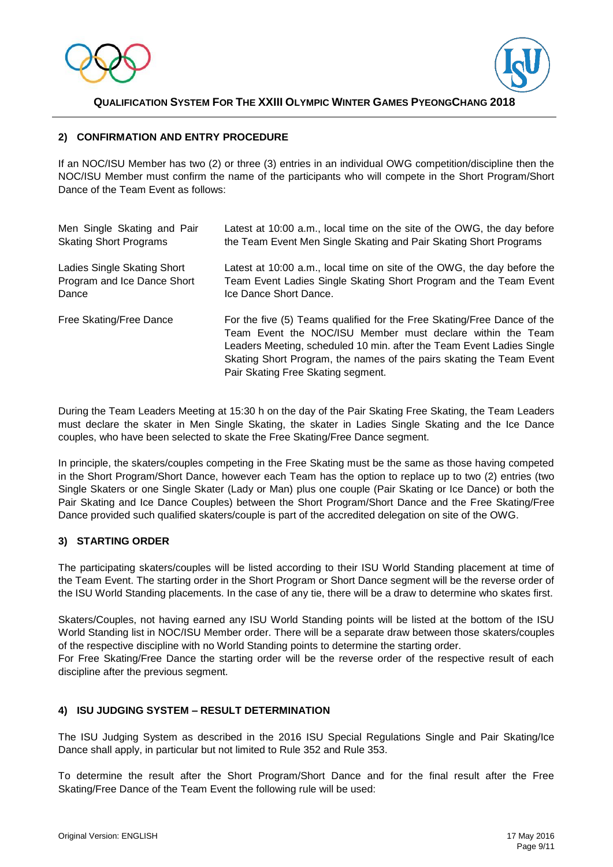



### **2) CONFIRMATION AND ENTRY PROCEDURE**

If an NOC/ISU Member has two (2) or three (3) entries in an individual OWG competition/discipline then the NOC/ISU Member must confirm the name of the participants who will compete in the Short Program/Short Dance of the Team Event as follows:

| Men Single Skating and Pair   | Latest at 10:00 a.m., local time on the site of the OWG, the day before                                                                                                                                                                                                                                                      |
|-------------------------------|------------------------------------------------------------------------------------------------------------------------------------------------------------------------------------------------------------------------------------------------------------------------------------------------------------------------------|
| <b>Skating Short Programs</b> | the Team Event Men Single Skating and Pair Skating Short Programs                                                                                                                                                                                                                                                            |
| Ladies Single Skating Short   | Latest at 10:00 a.m., local time on site of the OWG, the day before the                                                                                                                                                                                                                                                      |
| Program and Ice Dance Short   | Team Event Ladies Single Skating Short Program and the Team Event                                                                                                                                                                                                                                                            |
| Dance                         | Ice Dance Short Dance.                                                                                                                                                                                                                                                                                                       |
| Free Skating/Free Dance       | For the five (5) Teams qualified for the Free Skating/Free Dance of the<br>Team Event the NOC/ISU Member must declare within the Team<br>Leaders Meeting, scheduled 10 min. after the Team Event Ladies Single<br>Skating Short Program, the names of the pairs skating the Team Event<br>Pair Skating Free Skating segment. |

During the Team Leaders Meeting at 15:30 h on the day of the Pair Skating Free Skating, the Team Leaders must declare the skater in Men Single Skating, the skater in Ladies Single Skating and the Ice Dance couples, who have been selected to skate the Free Skating/Free Dance segment.

In principle, the skaters/couples competing in the Free Skating must be the same as those having competed in the Short Program/Short Dance, however each Team has the option to replace up to two (2) entries (two Single Skaters or one Single Skater (Lady or Man) plus one couple (Pair Skating or Ice Dance) or both the Pair Skating and Ice Dance Couples) between the Short Program/Short Dance and the Free Skating/Free Dance provided such qualified skaters/couple is part of the accredited delegation on site of the OWG.

### **3) STARTING ORDER**

The participating skaters/couples will be listed according to their ISU World Standing placement at time of the Team Event. The starting order in the Short Program or Short Dance segment will be the reverse order of the ISU World Standing placements. In the case of any tie, there will be a draw to determine who skates first.

Skaters/Couples, not having earned any ISU World Standing points will be listed at the bottom of the ISU World Standing list in NOC/ISU Member order. There will be a separate draw between those skaters/couples of the respective discipline with no World Standing points to determine the starting order.

For Free Skating/Free Dance the starting order will be the reverse order of the respective result of each discipline after the previous segment.

### **4) ISU JUDGING SYSTEM – RESULT DETERMINATION**

The ISU Judging System as described in the 2016 ISU Special Regulations Single and Pair Skating/Ice Dance shall apply, in particular but not limited to Rule 352 and Rule 353.

To determine the result after the Short Program/Short Dance and for the final result after the Free Skating/Free Dance of the Team Event the following rule will be used: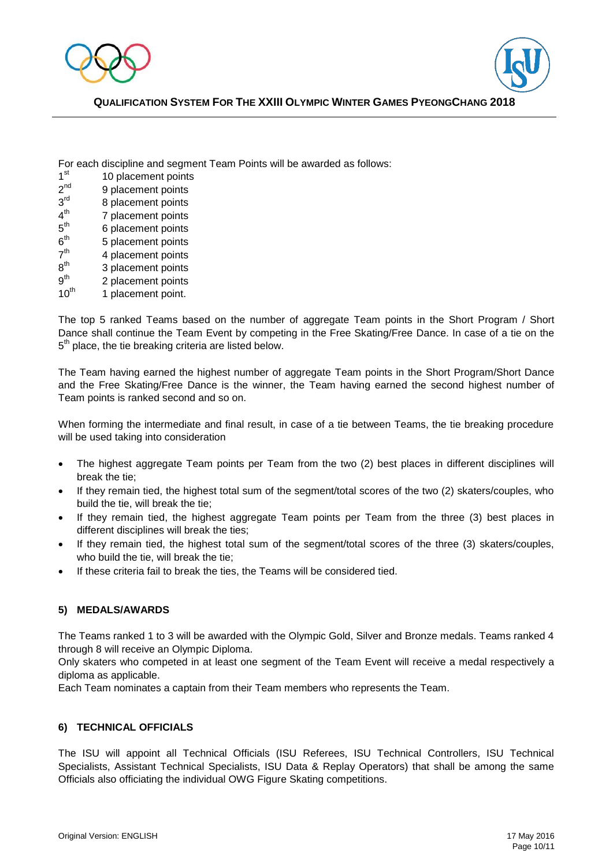



For each discipline and segment Team Points will be awarded as follows:

- $1<sup>st</sup>$ 10 placement points
- $2<sup>nd</sup>$ 9 placement points
- $3<sup>rd</sup>$ 8 placement points
- $4<sup>th</sup>$ 7 placement points
- $5<sup>th</sup>$ 6 placement points
- $6<sup>th</sup>$ 5 placement points
- $7<sup>th</sup>$ 4 placement points
- $8^{\text{th}}$ 3 placement points
- $9^{th}$ <br>10<sup>th</sup> 2 placement points
- 1 placement point.

The top 5 ranked Teams based on the number of aggregate Team points in the Short Program / Short Dance shall continue the Team Event by competing in the Free Skating/Free Dance. In case of a tie on the  $5<sup>th</sup>$  place, the tie breaking criteria are listed below.

The Team having earned the highest number of aggregate Team points in the Short Program/Short Dance and the Free Skating/Free Dance is the winner, the Team having earned the second highest number of Team points is ranked second and so on.

When forming the intermediate and final result, in case of a tie between Teams, the tie breaking procedure will be used taking into consideration

- The highest aggregate Team points per Team from the two (2) best places in different disciplines will break the tie;
- If they remain tied, the highest total sum of the segment/total scores of the two (2) skaters/couples, who build the tie, will break the tie;
- If they remain tied, the highest aggregate Team points per Team from the three (3) best places in different disciplines will break the ties;
- If they remain tied, the highest total sum of the segment/total scores of the three (3) skaters/couples, who build the tie, will break the tie;
- If these criteria fail to break the ties, the Teams will be considered tied.

### **5) MEDALS/AWARDS**

The Teams ranked 1 to 3 will be awarded with the Olympic Gold, Silver and Bronze medals. Teams ranked 4 through 8 will receive an Olympic Diploma.

Only skaters who competed in at least one segment of the Team Event will receive a medal respectively a diploma as applicable.

Each Team nominates a captain from their Team members who represents the Team.

### **6) TECHNICAL OFFICIALS**

The ISU will appoint all Technical Officials (ISU Referees, ISU Technical Controllers, ISU Technical Specialists, Assistant Technical Specialists, ISU Data & Replay Operators) that shall be among the same Officials also officiating the individual OWG Figure Skating competitions.